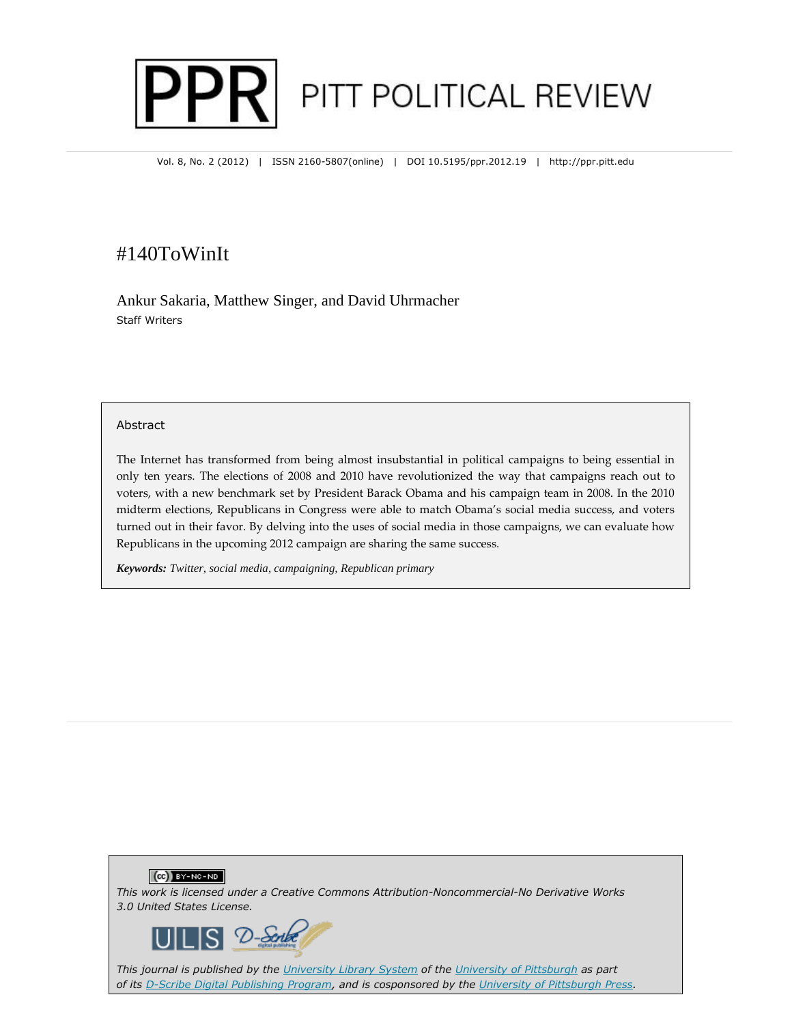# PITT POLITICAL REVIEW PRI

Vol. 8, No. 2 (2012) | ISSN 2160-5807(online) | DOI 10.5195/ppr.2012.19 | http://ppr.pitt.edu

# #140ToWinIt

Ankur Sakaria, Matthew Singer, and David Uhrmacher Staff Writers

#### Abstract

The Internet has transformed from being almost insubstantial in political campaigns to being essential in only ten years. The elections of 2008 and 2010 have revolutionized the way that campaigns reach out to voters, with a new benchmark set by President Barack Obama and his campaign team in 2008. In the 2010 midterm elections, Republicans in Congress were able to match Obama's social media success, and voters turned out in their favor. By delving into the uses of social media in those campaigns, we can evaluate how Republicans in the upcoming 2012 campaign are sharing the same success.

*Keywords: Twitter, social media, campaigning, Republican primary*





*This journal is published by the University Library System of the University of Pittsburgh as part of its D-Scribe Digital Publishing Program, and is cosponsored by the University of Pittsburgh Press.*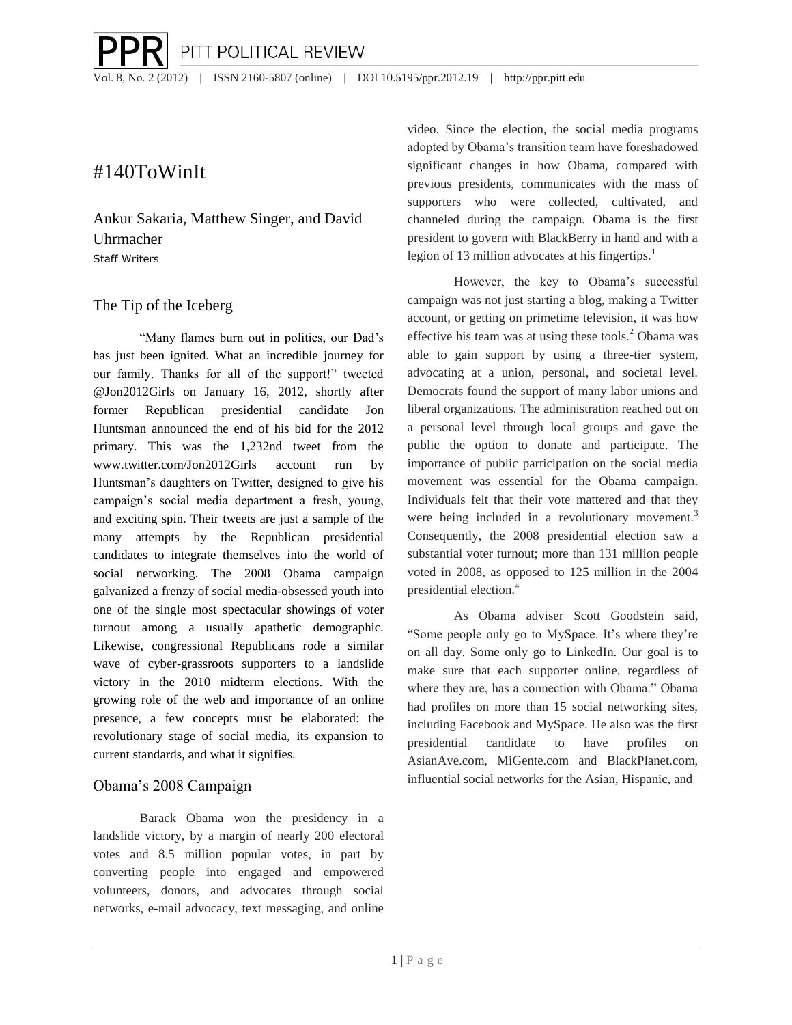## #140ToWinIt

Ankur Sakaria, Matthew Singer, and David Uhrmacher Staff Writers

## The Tip of the Iceberg

"Many flames burn out in politics, our Dad's has just been ignited. What an incredible journey for our family. Thanks for all of the support!" tweeted @Jon2012Girls on January 16, 2012, shortly after former Republican presidential candidate Jon Huntsman announced the end of his bid for the 2012 primary. This was the 1,232nd tweet from the www.twitter.com/Jon2012Girls account run by Huntsman's daughters on Twitter, designed to give his campaign's social media department a fresh, young, and exciting spin. Their tweets are just a sample of the many attempts by the Republican presidential candidates to integrate themselves into the world of social networking. The 2008 Obama campaign galvanized a frenzy of social media-obsessed youth into one of the single most spectacular showings of voter turnout among a usually apathetic demographic. Likewise, congressional Republicans rode a similar wave of cyber-grassroots supporters to a landslide victory in the 2010 midterm elections. With the growing role of the web and importance of an online presence, a few concepts must be elaborated: the revolutionary stage of social media, its expansion to current standards, and what it signifies.

## Obama's 2008 Campaign

Barack Obama won the presidency in a landslide victory, by a margin of nearly 200 electoral votes and 8.5 million popular votes, in part by converting people into engaged and empowered volunteers, donors, and advocates through social networks, e-mail advocacy, text messaging, and online

video. Since the election, the social media programs adopted by Obama's transition team have foreshadowed significant changes in how Obama, compared with previous presidents, communicates with the mass of supporters who were collected, cultivated, and channeled during the campaign. Obama is the first president to govern with BlackBerry in hand and with a legion of 13 million advocates at his fingertips. $<sup>1</sup>$ </sup>

However, the key to Obama's successful campaign was not just starting a blog, making a Twitter account, or getting on primetime television, it was how effective his team was at using these tools. $^{2}$  Obama was able to gain support by using a three-tier system, advocating at a union, personal, and societal level. Democrats found the support of many labor unions and liberal organizations. The administration reached out on a personal level through local groups and gave the public the option to donate and participate. The importance of public participation on the social media movement was essential for the Obama campaign. Individuals felt that their vote mattered and that they were being included in a revolutionary movement.<sup>3</sup> Consequently, the 2008 presidential election saw a substantial voter turnout; more than 131 million people voted in 2008, as opposed to 125 million in the 2004 presidential election.<sup>4</sup>

As Obama adviser Scott Goodstein said, "Some people only go to MySpace. It's where they're on all day. Some only go to LinkedIn. Our goal is to make sure that each supporter online, regardless of where they are, has a connection with Obama." Obama had profiles on more than 15 social networking sites, including Facebook and MySpace. He also was the first presidential candidate to have profiles on AsianAve.com, MiGente.com and BlackPlanet.com, influential social networks for the Asian, Hispanic, and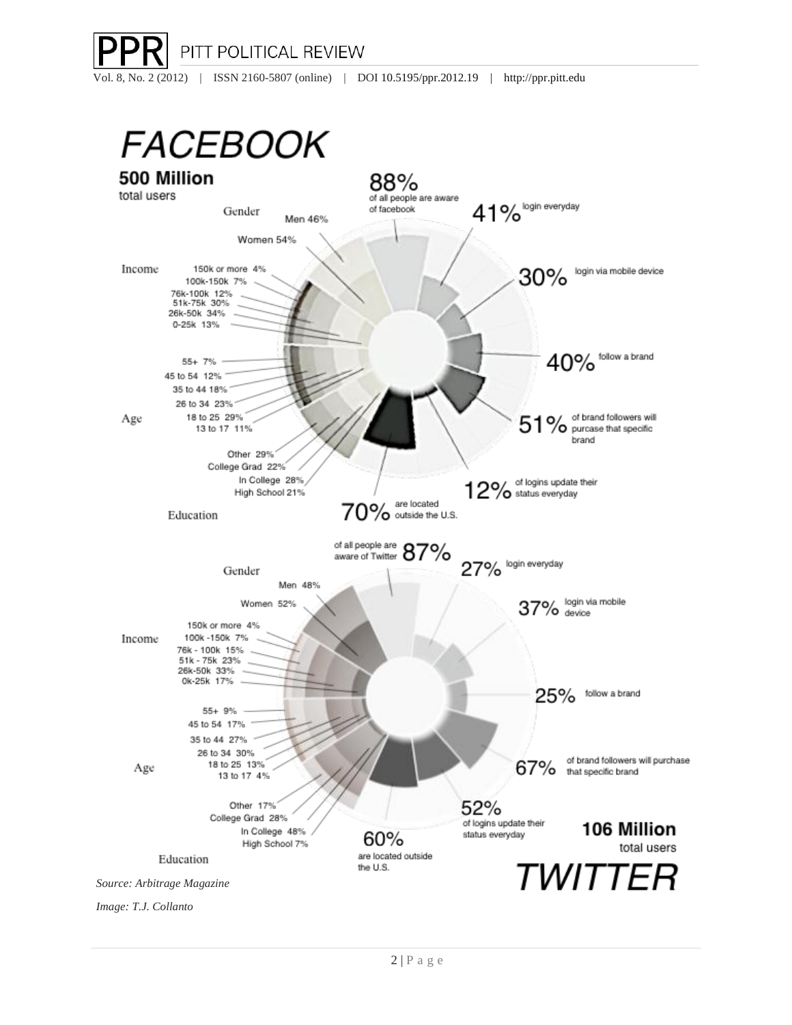

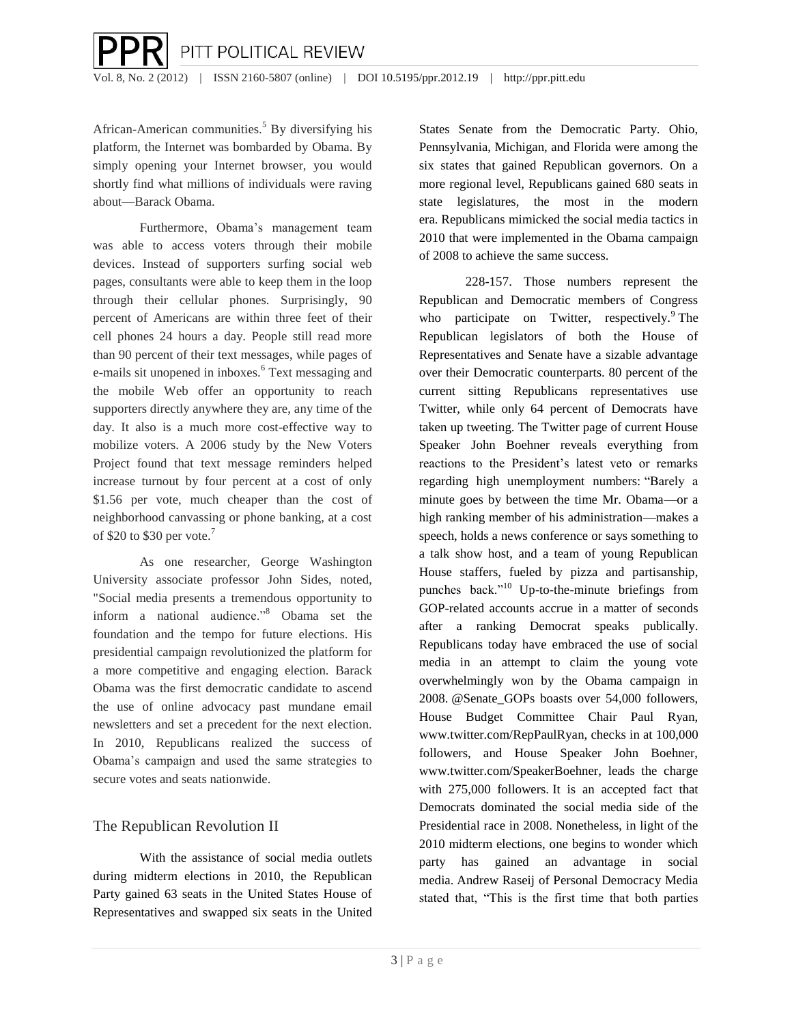African-American communities.<sup>5</sup> By diversifying his platform, the Internet was bombarded by Obama. By simply opening your Internet browser, you would shortly find what millions of individuals were raving about—Barack Obama.

Furthermore, Obama's management team was able to access voters through their mobile devices. Instead of supporters surfing social web pages, consultants were able to keep them in the loop through their cellular phones. Surprisingly, 90 percent of Americans are within three feet of their cell phones 24 hours a day. People still read more than 90 percent of their text messages, while pages of e-mails sit unopened in inboxes.<sup>6</sup> Text messaging and the mobile Web offer an opportunity to reach supporters directly anywhere they are, any time of the day. It also is a much more cost-effective way to mobilize voters. A 2006 study by the New Voters Project found that text message reminders helped increase turnout by four percent at a cost of only \$1.56 per vote, much cheaper than the cost of neighborhood canvassing or phone banking, at a cost of \$20 to \$30 per vote.<sup>7</sup>

As one researcher, George Washington University associate professor John Sides, noted, "Social media presents a tremendous opportunity to inform a national audience."<sup>8</sup> Obama set the foundation and the tempo for future elections. His presidential campaign revolutionized the platform for a more competitive and engaging election. Barack Obama was the first democratic candidate to ascend the use of online advocacy past mundane email newsletters and set a precedent for the next election. In 2010, Republicans realized the success of Obama's campaign and used the same strategies to secure votes and seats nationwide.

## The Republican Revolution II

With the assistance of social media outlets during midterm elections in 2010, the Republican Party gained 63 seats in the United States House of Representatives and swapped six seats in the United States Senate from the Democratic Party. Ohio, Pennsylvania, Michigan, and Florida were among the six states that gained Republican governors. On a more regional level, Republicans gained 680 seats in state legislatures, the most in the modern era. Republicans mimicked the social media tactics in 2010 that were implemented in the Obama campaign of 2008 to achieve the same success.

228-157. Those numbers represent the Republican and Democratic members of Congress who participate on Twitter, respectively. $9$  The Republican legislators of both the House of Representatives and Senate have a sizable advantage over their Democratic counterparts. 80 percent of the current sitting Republicans representatives use Twitter, while only 64 percent of Democrats have taken up tweeting. The Twitter page of current House Speaker John Boehner reveals everything from reactions to the President's latest veto or remarks regarding high unemployment numbers: "Barely a minute goes by between the time Mr. Obama—or a high ranking member of his administration—makes a speech, holds a news conference or says something to a talk show host, and a team of young Republican House staffers, fueled by pizza and partisanship, punches back." $10$  Up-to-the-minute briefings from GOP-related accounts accrue in a matter of seconds after a ranking Democrat speaks publically. Republicans today have embraced the use of social media in an attempt to claim the young vote overwhelmingly won by the Obama campaign in 2008. @Senate\_GOPs boasts over 54,000 followers, House Budget Committee Chair Paul Ryan, www.twitter.com/RepPaulRyan, checks in at 100,000 followers, and House Speaker John Boehner, www.twitter.com/SpeakerBoehner, leads the charge with 275,000 followers. It is an accepted fact that Democrats dominated the social media side of the Presidential race in 2008. Nonetheless, in light of the 2010 midterm elections, one begins to wonder which party has gained an advantage in social media. Andrew Raseij of Personal Democracy Media stated that, "This is the first time that both parties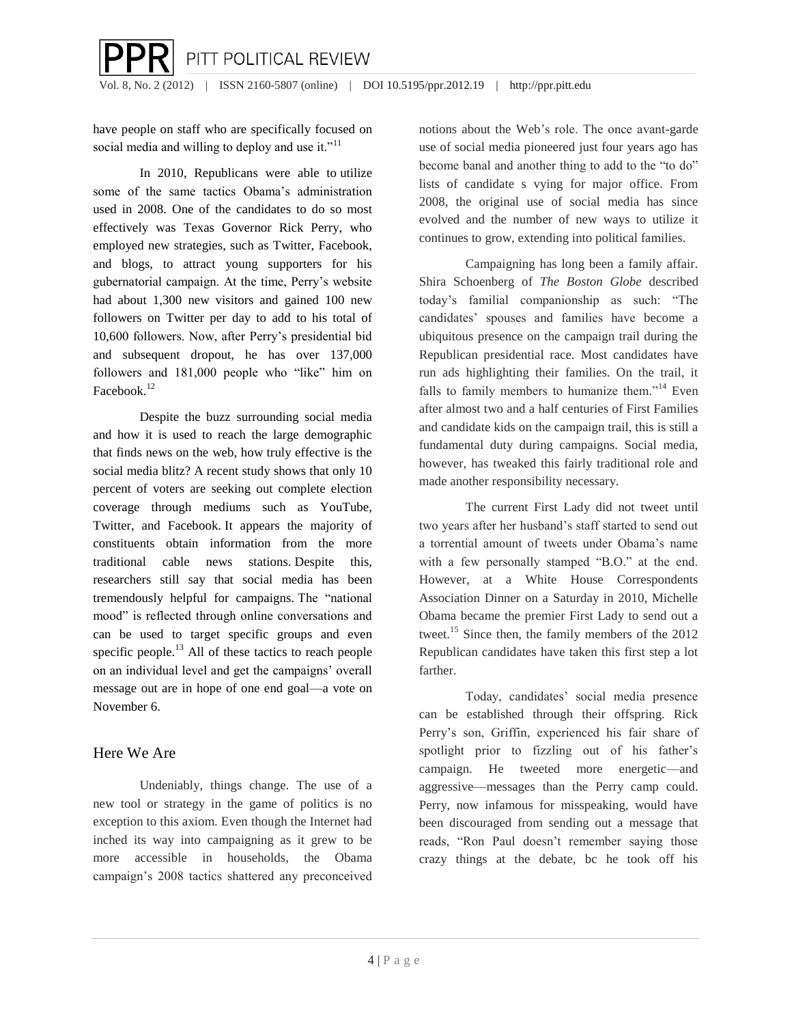have people on staff who are specifically focused on social media and willing to deploy and use it."<sup>11</sup>

In 2010, Republicans were able to utilize some of the same tactics Obama's administration used in 2008. One of the candidates to do so most effectively was Texas Governor Rick Perry, who employed new strategies, such as Twitter, Facebook, and blogs, to attract young supporters for his gubernatorial campaign. At the time, Perry's website had about 1,300 new visitors and gained 100 new followers on Twitter per day to add to his total of 10,600 followers. Now, after Perry's presidential bid and subsequent dropout, he has over 137,000 followers and 181,000 people who "like" him on Facebook.<sup>12</sup>

Despite the buzz surrounding social media and how it is used to reach the large demographic that finds news on the web, how truly effective is the social media blitz? A recent study shows that only 10 percent of voters are seeking out complete election coverage through mediums such as YouTube, Twitter, and Facebook. It appears the majority of constituents obtain information from the more traditional cable news stations. Despite this, researchers still say that social media has been tremendously helpful for campaigns. The "national mood" is reflected through online conversations and can be used to target specific groups and even specific people.<sup>13</sup> All of these tactics to reach people on an individual level and get the campaigns' overall message out are in hope of one end goal—a vote on November 6.

## Here We Are

Undeniably, things change. The use of a new tool or strategy in the game of politics is no exception to this axiom. Even though the Internet had inched its way into campaigning as it grew to be more accessible in households, the Obama campaign's 2008 tactics shattered any preconceived notions about the Web's role. The once avant-garde use of social media pioneered just four years ago has become banal and another thing to add to the "to do" lists of candidate s vying for major office. From 2008, the original use of social media has since evolved and the number of new ways to utilize it continues to grow, extending into political families.

Campaigning has long been a family affair. Shira Schoenberg of *The Boston Globe* described today's familial companionship as such: "The candidates' spouses and families have become a ubiquitous presence on the campaign trail during the Republican presidential race. Most candidates have run ads highlighting their families. On the trail, it falls to family members to humanize them."<sup>14</sup> Even after almost two and a half centuries of First Families and candidate kids on the campaign trail, this is still a fundamental duty during campaigns. Social media, however, has tweaked this fairly traditional role and made another responsibility necessary.

The current First Lady did not tweet until two years after her husband's staff started to send out a torrential amount of tweets under Obama's name with a few personally stamped "B.O." at the end. However, at a White House Correspondents Association Dinner on a Saturday in 2010, Michelle Obama became the premier First Lady to send out a tweet.<sup>15</sup> Since then, the family members of the 2012 Republican candidates have taken this first step a lot farther.

Today, candidates' social media presence can be established through their offspring. Rick Perry's son, Griffin, experienced his fair share of spotlight prior to fizzling out of his father's campaign. He tweeted more energetic—and aggressive—messages than the Perry camp could. Perry, now infamous for misspeaking, would have been discouraged from sending out a message that reads, "Ron Paul doesn't remember saying those crazy things at the debate, bc he took off his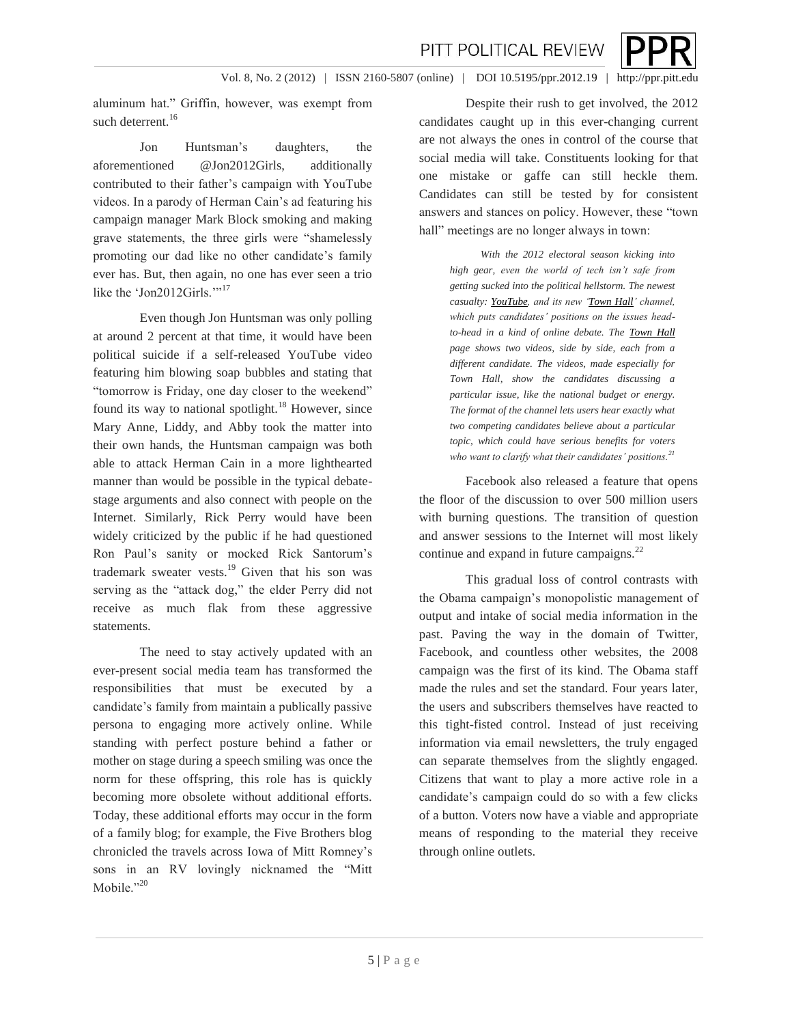Vol. 8, No. 2 (2012) | ISSN 2160-5807 (online) | DOI 10.5195/ppr.2012.19 | http://ppr.pitt.edu

aluminum hat." Griffin, however, was exempt from such deterrent.<sup>16</sup>

Jon Huntsman's daughters, the aforementioned @Jon2012Girls, additionally contributed to their father's campaign with YouTube videos. In a parody of Herman Cain's ad featuring his campaign manager Mark Block smoking and making grave statements, the three girls were "shamelessly promoting our dad like no other candidate's family ever has. But, then again, no one has ever seen a trio like the 'Jon2012Girls.'"<sup>17</sup>

Even though Jon Huntsman was only polling at around 2 percent at that time, it would have been political suicide if a self-released YouTube video featuring him blowing soap bubbles and stating that "tomorrow is Friday, one day closer to the weekend" found its way to national spotlight.<sup>18</sup> However, since Mary Anne, Liddy, and Abby took the matter into their own hands, the Huntsman campaign was both able to attack Herman Cain in a more lighthearted manner than would be possible in the typical debatestage arguments and also connect with people on the Internet. Similarly, Rick Perry would have been widely criticized by the public if he had questioned Ron Paul's sanity or mocked Rick Santorum's trademark sweater vests.<sup>19</sup> Given that his son was serving as the "attack dog," the elder Perry did not receive as much flak from these aggressive statements.

The need to stay actively updated with an ever-present social media team has transformed the responsibilities that must be executed by a candidate's family from maintain a publically passive persona to engaging more actively online. While standing with perfect posture behind a father or mother on stage during a speech smiling was once the norm for these offspring, this role has is quickly becoming more obsolete without additional efforts. Today, these additional efforts may occur in the form of a family blog; for example, the Five Brothers blog chronicled the travels across Iowa of Mitt Romney's sons in an RV lovingly nicknamed the "Mitt Mobile."20

Despite their rush to get involved, the 2012 candidates caught up in this ever-changing current are not always the ones in control of the course that social media will take. Constituents looking for that one mistake or gaffe can still heckle them. Candidates can still be tested by for consistent answers and stances on policy. However, these "town hall" meetings are no longer always in town:

> *With the 2012 electoral season kicking into high gear, even the world of tech isn't safe from getting sucked into the political hellstorm. The newest casualty[: YouTube,](http://www.digitaltrends.com/tag/youtube/) and its new ['Town Hall'](http://www.youtube.com/yttownhall) channel, which puts candidates' positions on the issues headto-head in a kind of online debate. The [Town Hall](http://googleblog.blogspot.com/2011/05/youtube-town-hall-where-your-views.html) page shows two videos, side by side, each from a different candidate. The videos, made especially for Town Hall, show the candidates discussing a particular issue, like the national budget or energy. The format of the channel lets users hear exactly what two competing candidates believe about a particular topic, which could have serious benefits for voters who want to clarify what their candidates' positions.<sup>21</sup>*

Facebook also released a feature that opens the floor of the discussion to over 500 million users with burning questions. The transition of question and answer sessions to the Internet will most likely continue and expand in future campaigns.<sup>22</sup>

This gradual loss of control contrasts with the Obama campaign's monopolistic management of output and intake of social media information in the past. Paving the way in the domain of Twitter, Facebook, and countless other websites, the 2008 campaign was the first of its kind. The Obama staff made the rules and set the standard. Four years later, the users and subscribers themselves have reacted to this tight-fisted control. Instead of just receiving information via email newsletters, the truly engaged can separate themselves from the slightly engaged. Citizens that want to play a more active role in a candidate's campaign could do so with a few clicks of a button. Voters now have a viable and appropriate means of responding to the material they receive through online outlets.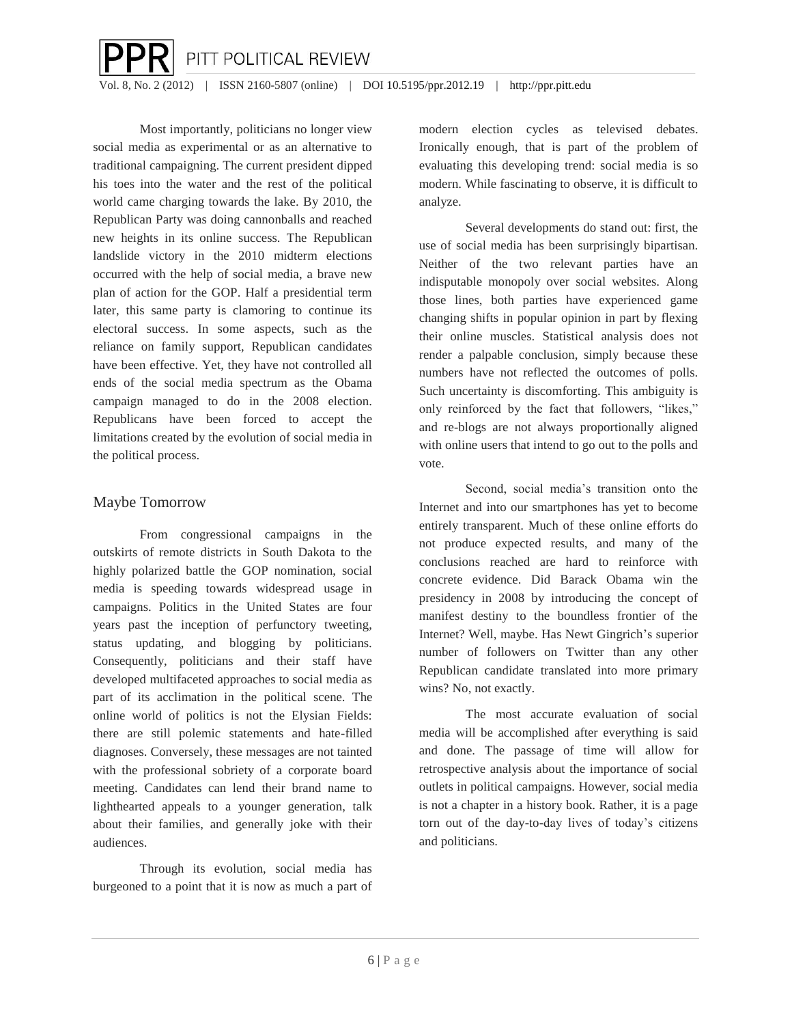Vol. 8, No. 2 (2012) | ISSN 2160-5807 (online) | DOI 10.5195/ppr.2012.19 | http://ppr.pitt.edu

PITT POLITICAL REVIEW

Most importantly, politicians no longer view social media as experimental or as an alternative to traditional campaigning. The current president dipped his toes into the water and the rest of the political world came charging towards the lake. By 2010, the Republican Party was doing cannonballs and reached new heights in its online success. The Republican landslide victory in the 2010 midterm elections occurred with the help of social media, a brave new plan of action for the GOP. Half a presidential term later, this same party is clamoring to continue its electoral success. In some aspects, such as the reliance on family support, Republican candidates have been effective. Yet, they have not controlled all ends of the social media spectrum as the Obama campaign managed to do in the 2008 election. Republicans have been forced to accept the limitations created by the evolution of social media in the political process.

#### Maybe Tomorrow

 $\overline{a}$ 

From congressional campaigns in the outskirts of remote districts in South Dakota to the highly polarized battle the GOP nomination, social media is speeding towards widespread usage in campaigns. Politics in the United States are four years past the inception of perfunctory tweeting, status updating, and blogging by politicians. Consequently, politicians and their staff have developed multifaceted approaches to social media as part of its acclimation in the political scene. The online world of politics is not the Elysian Fields: there are still polemic statements and hate-filled diagnoses. Conversely, these messages are not tainted with the professional sobriety of a corporate board meeting. Candidates can lend their brand name to lighthearted appeals to a younger generation, talk about their families, and generally joke with their audiences.

Through its evolution, social media has burgeoned to a point that it is now as much a part of modern election cycles as televised debates. Ironically enough, that is part of the problem of evaluating this developing trend: social media is so modern. While fascinating to observe, it is difficult to analyze.

Several developments do stand out: first, the use of social media has been surprisingly bipartisan. Neither of the two relevant parties have an indisputable monopoly over social websites. Along those lines, both parties have experienced game changing shifts in popular opinion in part by flexing their online muscles. Statistical analysis does not render a palpable conclusion, simply because these numbers have not reflected the outcomes of polls. Such uncertainty is discomforting. This ambiguity is only reinforced by the fact that followers, "likes," and re-blogs are not always proportionally aligned with online users that intend to go out to the polls and vote.

Second, social media's transition onto the Internet and into our smartphones has yet to become entirely transparent. Much of these online efforts do not produce expected results, and many of the conclusions reached are hard to reinforce with concrete evidence. Did Barack Obama win the presidency in 2008 by introducing the concept of manifest destiny to the boundless frontier of the Internet? Well, maybe. Has Newt Gingrich's superior number of followers on Twitter than any other Republican candidate translated into more primary wins? No, not exactly.

The most accurate evaluation of social media will be accomplished after everything is said and done. The passage of time will allow for retrospective analysis about the importance of social outlets in political campaigns. However, social media is not a chapter in a history book. Rather, it is a page torn out of the day-to-day lives of today's citizens and politicians.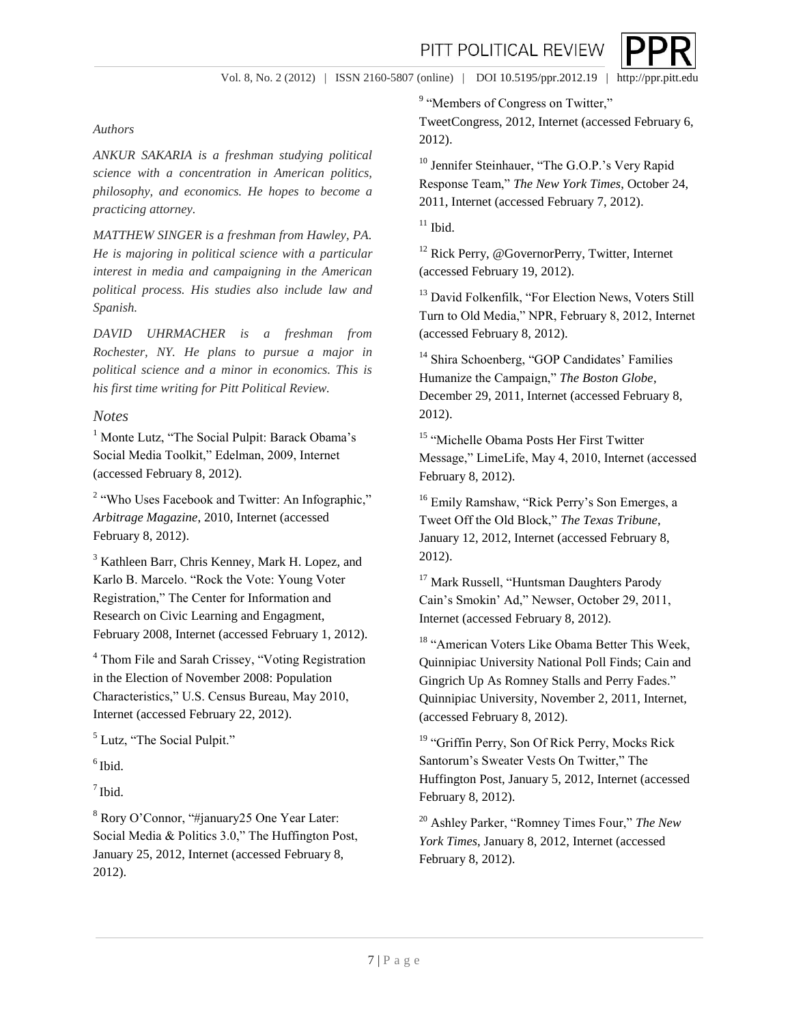Vol. 8, No. 2 (2012) | ISSN 2160-5807 (online) | DOI 10.5195/ppr.2012.19 | http://ppr.pitt.edu

#### *Authors*

*ANKUR SAKARIA is a freshman studying political science with a concentration in American politics, philosophy, and economics. He hopes to become a practicing attorney.*

*MATTHEW SINGER is a freshman from Hawley, PA. He is majoring in political science with a particular interest in media and campaigning in the American political process. His studies also include law and Spanish.*

*DAVID UHRMACHER is a freshman from Rochester, NY. He plans to pursue a major in political science and a minor in economics. This is his first time writing for Pitt Political Review.*

#### *Notes*

<sup>1</sup> Monte Lutz, "The Social Pulpit: Barack Obama's Social Media Toolkit," Edelman, 2009, Internet (accessed February 8, 2012).

<sup>2</sup> "Who Uses Facebook and Twitter: An Infographic," *Arbitrage Magazine*, 2010, Internet (accessed February 8, 2012).

<sup>3</sup> Kathleen Barr, Chris Kenney, Mark H. Lopez, and Karlo B. Marcelo. "Rock the Vote: Young Voter Registration," The Center for Information and Research on Civic Learning and Engagment, February 2008, Internet (accessed February 1, 2012).

<sup>4</sup> Thom File and Sarah Crissey, "Voting Registration in the Election of November 2008: Population Characteristics," U.S. Census Bureau, May 2010, Internet (accessed February 22, 2012).

<sup>5</sup> Lutz, "The Social Pulpit."

 $<sup>6</sup>$  Ibid.</sup>

 $<sup>7</sup>$  Ibid.</sup>

<sup>8</sup> Rory O'Connor, "#january25 One Year Later: Social Media & Politics 3.0," The Huffington Post, January 25, 2012, Internet (accessed February 8, 2012).

<sup>9</sup> "Members of Congress on Twitter,"

TweetCongress, 2012, Internet (accessed February 6, 2012).

<sup>10</sup> Jennifer Steinhauer, "The G.O.P.'s Very Rapid Response Team," *The New York Times*, October 24, 2011, Internet (accessed February 7, 2012).

 $11$  Ibid.

<sup>12</sup> Rick Perry, @GovernorPerry, Twitter, Internet (accessed February 19, 2012).

<sup>13</sup> David Folkenfilk, "For Election News, Voters Still Turn to Old Media," NPR, February 8, 2012, Internet (accessed February 8, 2012).

<sup>14</sup> Shira Schoenberg, "GOP Candidates' Families Humanize the Campaign," *The Boston Globe*, December 29, 2011, Internet (accessed February 8, 2012).

<sup>15</sup> "Michelle Obama Posts Her First Twitter Message," LimeLife, May 4, 2010, Internet (accessed February 8, 2012).

<sup>16</sup> Emily Ramshaw, "Rick Perry's Son Emerges, a Tweet Off the Old Block," *The Texas Tribune*, January 12, 2012, Internet (accessed February 8, 2012).

<sup>17</sup> Mark Russell, "Huntsman Daughters Parody Cain's Smokin' Ad," Newser, October 29, 2011, Internet (accessed February 8, 2012).

<sup>18</sup> "American Voters Like Obama Better This Week, Quinnipiac University National Poll Finds; Cain and Gingrich Up As Romney Stalls and Perry Fades." Quinnipiac University, November 2, 2011, Internet, (accessed February 8, 2012).

<sup>19</sup> "Griffin Perry, Son Of Rick Perry, Mocks Rick Santorum's Sweater Vests On Twitter," The Huffington Post, January 5, 2012, Internet (accessed February 8, 2012).

<sup>20</sup> Ashley Parker, "Romney Times Four," *The New York Times*, January 8, 2012, Internet (accessed February 8, 2012).